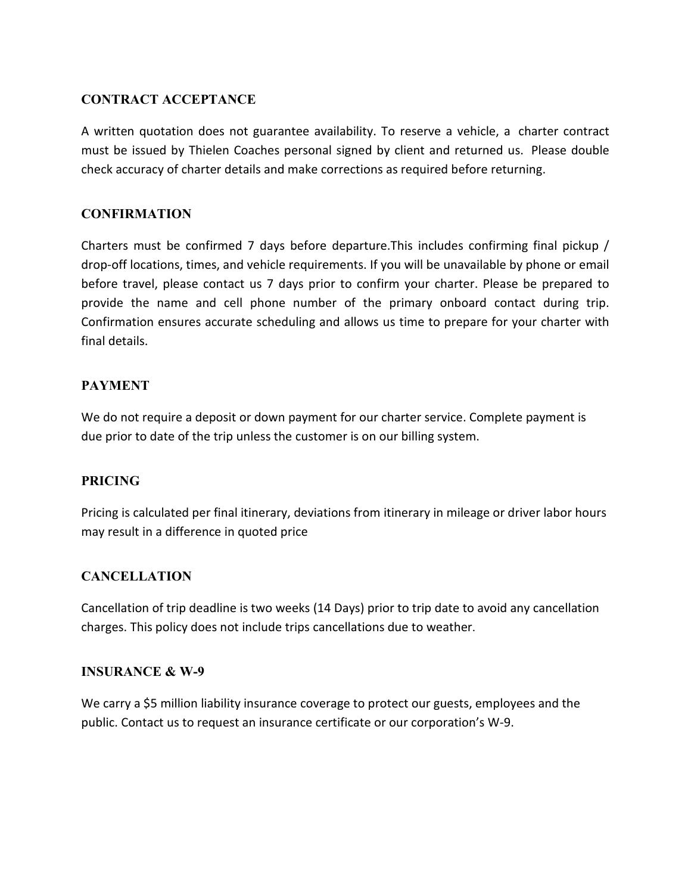# CONTRACT ACCEPTANCE

A written quotation does not guarantee availability. To reserve a vehicle, a charter contract must be issued by Thielen Coaches personal signed by client and returned us. Please double check accuracy of charter details and make corrections as required before returning.

# CONFIRMATION

Charters must be confirmed 7 days before departure.This includes confirming final pickup / drop-off locations, times, and vehicle requirements. If you will be unavailable by phone or email before travel, please contact us 7 days prior to confirm your charter. Please be prepared to provide the name and cell phone number of the primary onboard contact during trip. Confirmation ensures accurate scheduling and allows us time to prepare for your charter with final details.

# PAYMENT

We do not require a deposit or down payment for our charter service. Complete payment is due prior to date of the trip unless the customer is on our billing system.

#### PRICING

Pricing is calculated per final itinerary, deviations from itinerary in mileage or driver labor hours may result in a difference in quoted price

#### CANCELLATION

Cancellation of trip deadline is two weeks (14 Days) prior to trip date to avoid any cancellation charges. This policy does not include trips cancellations due to weather.

#### INSURANCE & W-9

We carry a \$5 million liability insurance coverage to protect our guests, employees and the public. Contact us to request an insurance certificate or our corporation's W-9.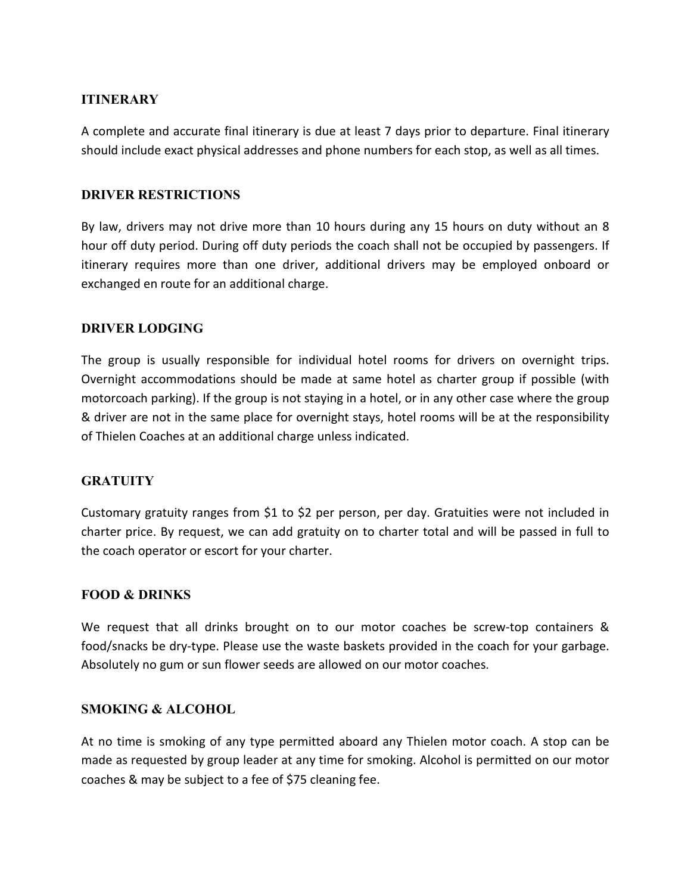# **ITINERARY**

A complete and accurate final itinerary is due at least 7 days prior to departure. Final itinerary should include exact physical addresses and phone numbers for each stop, as well as all times.

#### DRIVER RESTRICTIONS

By law, drivers may not drive more than 10 hours during any 15 hours on duty without an 8 hour off duty period. During off duty periods the coach shall not be occupied by passengers. If itinerary requires more than one driver, additional drivers may be employed onboard or exchanged en route for an additional charge.

#### DRIVER LODGING

The group is usually responsible for individual hotel rooms for drivers on overnight trips. Overnight accommodations should be made at same hotel as charter group if possible (with motorcoach parking). If the group is not staying in a hotel, or in any other case where the group & driver are not in the same place for overnight stays, hotel rooms will be at the responsibility of Thielen Coaches at an additional charge unless indicated.

#### **GRATUITY**

Customary gratuity ranges from \$1 to \$2 per person, per day. Gratuities were not included in charter price. By request, we can add gratuity on to charter total and will be passed in full to the coach operator or escort for your charter.

#### FOOD & DRINKS

We request that all drinks brought on to our motor coaches be screw-top containers & food/snacks be dry-type. Please use the waste baskets provided in the coach for your garbage. Absolutely no gum or sun flower seeds are allowed on our motor coaches.

#### SMOKING & ALCOHOL

At no time is smoking of any type permitted aboard any Thielen motor coach. A stop can be made as requested by group leader at any time for smoking. Alcohol is permitted on our motor coaches & may be subject to a fee of \$75 cleaning fee.